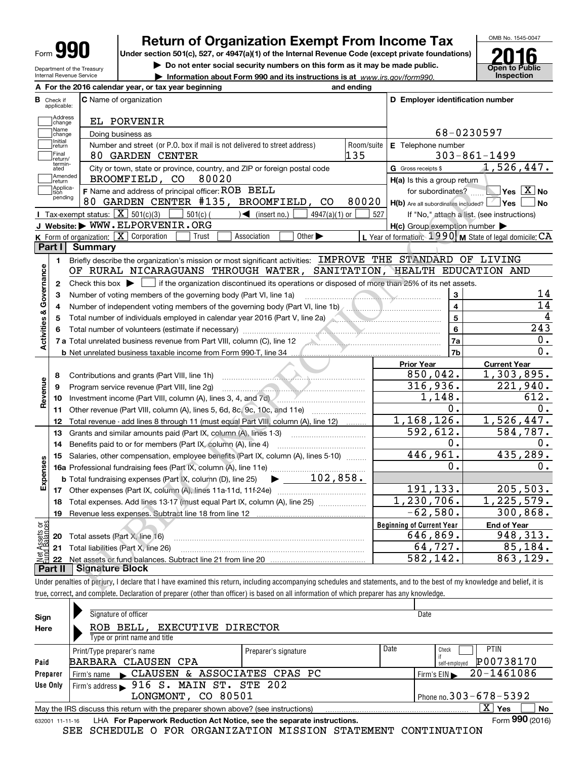| YГ<br>ī<br>Form<br>u. |
|-----------------------|
|-----------------------|

Department of the Treasury Internal Revenue Service

## Return of Organization Exempt From Income Tax

Under section 501(c), 527, or 4947(a)(1) of the Internal Revenue Code (except private foundations)

 $\triangleright$  Do not enter social security numbers on this form as it may be made public.<br>  $\triangleright$  Information about Form 990 and its instructions is at www.irs.gov/form990. Inspection

▶ Information about Form 990 and its instructions is at www.irs.gov/form990. Inspection



|                                |                                  | A For the 2016 calendar year, or tax year beginning                                                                                                                                                                                                                                                                  | and ending          |                                                                                                                                                                                                                                                                                                                                                                                  |                                                         |  |  |
|--------------------------------|----------------------------------|----------------------------------------------------------------------------------------------------------------------------------------------------------------------------------------------------------------------------------------------------------------------------------------------------------------------|---------------------|----------------------------------------------------------------------------------------------------------------------------------------------------------------------------------------------------------------------------------------------------------------------------------------------------------------------------------------------------------------------------------|---------------------------------------------------------|--|--|
|                                | <b>B</b> Check if<br>applicable: | C Name of organization                                                                                                                                                                                                                                                                                               |                     | D Employer identification number                                                                                                                                                                                                                                                                                                                                                 |                                                         |  |  |
|                                | Address<br>change                | EL PORVENIR                                                                                                                                                                                                                                                                                                          |                     |                                                                                                                                                                                                                                                                                                                                                                                  |                                                         |  |  |
|                                | Name<br>change                   | Doing business as                                                                                                                                                                                                                                                                                                    |                     | 68-0230597                                                                                                                                                                                                                                                                                                                                                                       |                                                         |  |  |
|                                | Initial<br>return<br> Final      | Number and street (or P.O. box if mail is not delivered to street address)                                                                                                                                                                                                                                           | Room/suite<br>135   | E Telephone number                                                                                                                                                                                                                                                                                                                                                               |                                                         |  |  |
|                                | return/<br>termin-<br>ated       | 80 GARDEN CENTER                                                                                                                                                                                                                                                                                                     |                     |                                                                                                                                                                                                                                                                                                                                                                                  | $303 - 861 - 1499$<br>1,526,447.                        |  |  |
|                                | Amended                          | City or town, state or province, country, and ZIP or foreign postal code<br>BROOMFIELD, CO<br>80020                                                                                                                                                                                                                  | G Gross receipts \$ |                                                                                                                                                                                                                                                                                                                                                                                  |                                                         |  |  |
|                                | return<br>Applica-               | F Name and address of principal officer: ROB BELL                                                                                                                                                                                                                                                                    |                     | H(a) Is this a group return                                                                                                                                                                                                                                                                                                                                                      | $\blacksquare$ Yes $\boxed{\text{X}}$ No                |  |  |
|                                | tion<br>pending                  | 80 GARDEN CENTER #135, BROOMFIELD, CO                                                                                                                                                                                                                                                                                | 80020               | for subordinates?<br>H(b) Are all subordinates included?   Yes                                                                                                                                                                                                                                                                                                                   | <b>No</b>                                               |  |  |
|                                |                                  | Tax-exempt status: $\boxed{\mathbf{X}}$ 501(c)(3)<br>$501(c)$ (<br>$\sqrt{\frac{1}{1}}$ (insert no.)<br>$4947(a)(1)$ or                                                                                                                                                                                              | 527                 |                                                                                                                                                                                                                                                                                                                                                                                  | If "No," attach a list. (see instructions)              |  |  |
|                                |                                  | J Website: WWW.ELPORVENIR.ORG                                                                                                                                                                                                                                                                                        |                     | $H(c)$ Group exemption number $\blacktriangleright$                                                                                                                                                                                                                                                                                                                              |                                                         |  |  |
|                                |                                  | <b>K</b> Form of organization: $\boxed{\mathbf{X}}$ Corporation<br>Association<br>Other $\blacktriangleright$<br>Trust                                                                                                                                                                                               |                     |                                                                                                                                                                                                                                                                                                                                                                                  | L Year of formation: 1990 M State of legal domicile: CA |  |  |
|                                | <b>Part I</b>                    | <b>Summary</b>                                                                                                                                                                                                                                                                                                       |                     |                                                                                                                                                                                                                                                                                                                                                                                  |                                                         |  |  |
|                                | 1.                               | Briefly describe the organization's mission or most significant activities: IMPROVE THE STANDARD OF LIVING                                                                                                                                                                                                           |                     |                                                                                                                                                                                                                                                                                                                                                                                  |                                                         |  |  |
| Governance                     |                                  | OF RURAL NICARAGUANS THROUGH WATER, SANITATION, HEALTH EDUCATION AND                                                                                                                                                                                                                                                 |                     |                                                                                                                                                                                                                                                                                                                                                                                  |                                                         |  |  |
|                                | 2                                | Check this box $\blacktriangleright \Box$ if the organization discontinued its operations or disposed of more than 25% of its net assets.                                                                                                                                                                            |                     |                                                                                                                                                                                                                                                                                                                                                                                  |                                                         |  |  |
|                                | з                                | Number of voting members of the governing body (Part VI, line 1a)                                                                                                                                                                                                                                                    |                     | 3<br>$\begin{picture}(180,10) \put(0,0){\vector(1,0){10}} \put(10,0){\vector(1,0){10}} \put(10,0){\vector(1,0){10}} \put(10,0){\vector(1,0){10}} \put(10,0){\vector(1,0){10}} \put(10,0){\vector(1,0){10}} \put(10,0){\vector(1,0){10}} \put(10,0){\vector(1,0){10}} \put(10,0){\vector(1,0){10}} \put(10,0){\vector(1,0){10}} \put(10,0){\vector(1,0){10}} \put(10,0){\vector($ | 14                                                      |  |  |
|                                | 4                                | Number of independent voting members of the governing body (Part VI, line 1b) [11] (11] (11] (11] (11] (11] (1                                                                                                                                                                                                       |                     | 4                                                                                                                                                                                                                                                                                                                                                                                | 14                                                      |  |  |
|                                | 5                                | Total number of individuals employed in calendar year 2016 (Part V, line 2a)                                                                                                                                                                                                                                         |                     | 5                                                                                                                                                                                                                                                                                                                                                                                | 4                                                       |  |  |
|                                | 6                                |                                                                                                                                                                                                                                                                                                                      |                     | 6                                                                                                                                                                                                                                                                                                                                                                                | 243                                                     |  |  |
| <b>Activities &amp;</b>        |                                  | 7 a Total unrelated business revenue from Part VIII, column (C), line 12                                                                                                                                                                                                                                             |                     | 7a                                                                                                                                                                                                                                                                                                                                                                               | 0.                                                      |  |  |
|                                |                                  | <b>b</b> Net unrelated business taxable income from Form 990-T, line 34                                                                                                                                                                                                                                              |                     | 7b                                                                                                                                                                                                                                                                                                                                                                               | 0.                                                      |  |  |
|                                |                                  |                                                                                                                                                                                                                                                                                                                      |                     | <b>Prior Year</b>                                                                                                                                                                                                                                                                                                                                                                | <b>Current Year</b>                                     |  |  |
|                                | 8                                | <u> Estados de la contrador de la contrador de la contrador de la contrador de la contrador de la contrador de la contrador de la contrador de la contrador de la contrador de la contrador de la contrador de la contrador de l</u><br>Contributions and grants (Part VIII, line 1h)                                |                     | 850,042.                                                                                                                                                                                                                                                                                                                                                                         | 1,303,895.                                              |  |  |
| Revenue                        | 9                                | Program service revenue (Part VIII, line 2g)<br><u>and the second contract of the second contract of the second contract of the second contract of the second contract of the second contract of the second contract of the second contract of the second contract of the second</u>                                 |                     | 316,936.                                                                                                                                                                                                                                                                                                                                                                         | 221,940.<br>612.                                        |  |  |
|                                | 10                               | Investment income (Part VIII, column (A), lines 3, 4, and 7d) <i>m.m.m.m.m.m.m.m.m.m.</i> m.                                                                                                                                                                                                                         |                     | 1,148.<br>0.                                                                                                                                                                                                                                                                                                                                                                     | 0.                                                      |  |  |
|                                | 11<br>12                         | Other revenue (Part VIII, column (A), lines 5, 6d, 8c, 9c, 10c, and 11e)                                                                                                                                                                                                                                             |                     | 1,168,126.                                                                                                                                                                                                                                                                                                                                                                       | 1,526,447.                                              |  |  |
|                                | 13                               | Total revenue - add lines 8 through 11 (must equal Part VIII, column (A), line 12)<br>Grants and similar amounts paid (Part IX, column (A), lines 1-3)                                                                                                                                                               |                     | 592,612.                                                                                                                                                                                                                                                                                                                                                                         | 584,787.                                                |  |  |
|                                | 14                               | Benefits paid to or for members (Part IX, column (A), line 4)                                                                                                                                                                                                                                                        |                     | 0.                                                                                                                                                                                                                                                                                                                                                                               | 0.                                                      |  |  |
|                                | 15                               | Salaries, other compensation, employee benefits (Part IX, column (A), lines 5-10)                                                                                                                                                                                                                                    |                     | 446,961.                                                                                                                                                                                                                                                                                                                                                                         | 435,289.                                                |  |  |
| Expenses                       |                                  |                                                                                                                                                                                                                                                                                                                      |                     | 0.                                                                                                                                                                                                                                                                                                                                                                               | Ο.                                                      |  |  |
|                                |                                  | <b>b</b> Total fundraising expenses (Part IX, column (D), line 25) $\rightarrow$ 102, 858.                                                                                                                                                                                                                           |                     |                                                                                                                                                                                                                                                                                                                                                                                  |                                                         |  |  |
|                                | 17                               |                                                                                                                                                                                                                                                                                                                      |                     | 191,133.                                                                                                                                                                                                                                                                                                                                                                         | 205, 503.                                               |  |  |
|                                | 18                               | Total expenses. Add lines 13-17 (must equal Part IX, column (A), line 25)                                                                                                                                                                                                                                            |                     | 1,230,706.                                                                                                                                                                                                                                                                                                                                                                       | 1,225,579.                                              |  |  |
|                                |                                  | 19 Revenue less expenses. Subtract line 18 from line 12                                                                                                                                                                                                                                                              |                     | $-62,580.$                                                                                                                                                                                                                                                                                                                                                                       | 300,868.                                                |  |  |
|                                |                                  |                                                                                                                                                                                                                                                                                                                      |                     | <b>Beginning of Current Year</b>                                                                                                                                                                                                                                                                                                                                                 | <b>End of Year</b>                                      |  |  |
|                                | 20                               | Total assets (Part X, line 16)                                                                                                                                                                                                                                                                                       |                     | 646,869.                                                                                                                                                                                                                                                                                                                                                                         | 948,313.                                                |  |  |
| Net Assets or<br>Fund Balances | 21                               | Total liabilities (Part X, line 26)                                                                                                                                                                                                                                                                                  |                     | 64,727.                                                                                                                                                                                                                                                                                                                                                                          | 85,184.                                                 |  |  |
|                                | 22                               |                                                                                                                                                                                                                                                                                                                      |                     | 582,142.                                                                                                                                                                                                                                                                                                                                                                         | 863,129.                                                |  |  |
|                                | <b>Part II</b>                   | <b>Signature Block</b>                                                                                                                                                                                                                                                                                               |                     |                                                                                                                                                                                                                                                                                                                                                                                  |                                                         |  |  |
|                                |                                  | Under penalties of perjury, I declare that I have examined this return, including accompanying schedules and statements, and to the best of my knowledge and belief, it is<br>true correct and complete Declaration of preparer (other than officer) is based on all information of which preparer has any knowledge |                     |                                                                                                                                                                                                                                                                                                                                                                                  |                                                         |  |  |

Under penalties of perjury, I declare that I have examined this return, including accompanying schedules and statements, and to the best of my knowledge and belief, it is true, correct, and complete. Declaration of preparer (other than officer) is based on all information of which preparer has any knowledge.

| Sign            | Signature of officer                                                                                     |                      |      | Date                       |  |  |  |  |  |  |  |  |
|-----------------|----------------------------------------------------------------------------------------------------------|----------------------|------|----------------------------|--|--|--|--|--|--|--|--|
| Here            | ROB BELL, EXECUTIVE DIRECTOR                                                                             |                      |      |                            |  |  |  |  |  |  |  |  |
|                 | Type or print name and title                                                                             |                      |      |                            |  |  |  |  |  |  |  |  |
|                 | Print/Type preparer's name                                                                               | Preparer's signature | Date | <b>PTIN</b><br>Check       |  |  |  |  |  |  |  |  |
| Paid            | BARBARA CLAUSEN CPA                                                                                      |                      |      | P00738170<br>self-emploved |  |  |  |  |  |  |  |  |
| Preparer        | Firm's name CLAUSEN & ASSOCIATES CPAS PC                                                                 |                      |      | 20-1461086<br>Firm's $EIN$ |  |  |  |  |  |  |  |  |
| Use Only        | Firm's address > 916 S. MAIN ST. STE 202                                                                 |                      |      |                            |  |  |  |  |  |  |  |  |
|                 | Phone no. $303 - 678 - 5392$<br>LONGMONT, CO 80501                                                       |                      |      |                            |  |  |  |  |  |  |  |  |
|                 | $X \mid Y$ es<br>No<br>May the IRS discuss this return with the preparer shown above? (see instructions) |                      |      |                            |  |  |  |  |  |  |  |  |
| 632001 11-11-16 | LHA For Paperwork Reduction Act Notice, see the separate instructions.                                   |                      |      | Form 990 (2016)            |  |  |  |  |  |  |  |  |

SEE SCHEDULE O FOR ORGANIZATION MISSION STATEMENT CONTINUATION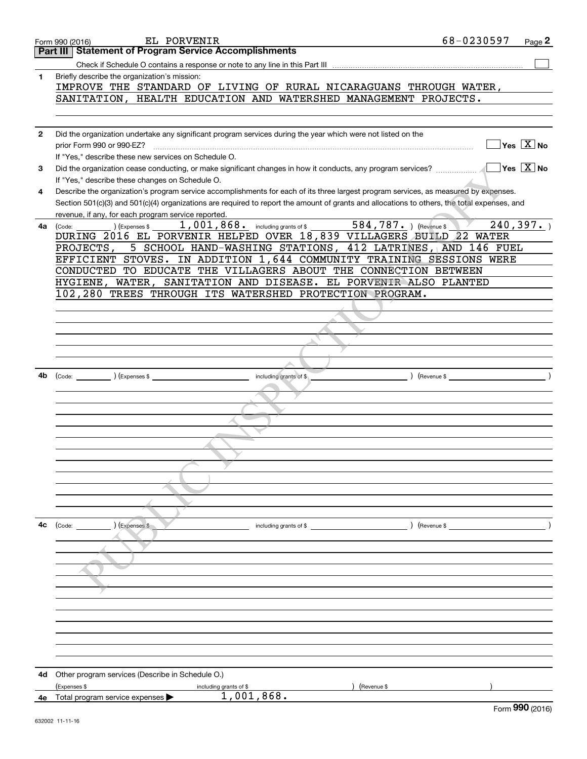|              | EL PORVENIR<br>Form 990 (2016)                                                                                                                                                                                                                                                                                                                                                               | 68-0230597     | Page 2                                 |
|--------------|----------------------------------------------------------------------------------------------------------------------------------------------------------------------------------------------------------------------------------------------------------------------------------------------------------------------------------------------------------------------------------------------|----------------|----------------------------------------|
|              | <b>Statement of Program Service Accomplishments</b><br>Part III                                                                                                                                                                                                                                                                                                                              |                |                                        |
|              |                                                                                                                                                                                                                                                                                                                                                                                              |                |                                        |
| 1            | Briefly describe the organization's mission:                                                                                                                                                                                                                                                                                                                                                 |                |                                        |
|              | IMPROVE THE STANDARD OF LIVING OF RURAL NICARAGUANS THROUGH WATER,                                                                                                                                                                                                                                                                                                                           |                |                                        |
|              | SANITATION, HEALTH EDUCATION AND WATERSHED MANAGEMENT PROJECTS.                                                                                                                                                                                                                                                                                                                              |                |                                        |
|              |                                                                                                                                                                                                                                                                                                                                                                                              |                |                                        |
|              |                                                                                                                                                                                                                                                                                                                                                                                              |                |                                        |
|              |                                                                                                                                                                                                                                                                                                                                                                                              |                |                                        |
| $\mathbf{2}$ | Did the organization undertake any significant program services during the year which were not listed on the                                                                                                                                                                                                                                                                                 |                |                                        |
|              |                                                                                                                                                                                                                                                                                                                                                                                              |                | $\sqrt{}$ Yes $\sqrt{}$ X $\sqrt{}$ No |
|              | If "Yes," describe these new services on Schedule O.                                                                                                                                                                                                                                                                                                                                         |                |                                        |
| 3            |                                                                                                                                                                                                                                                                                                                                                                                              |                |                                        |
|              | If "Yes," describe these changes on Schedule O.                                                                                                                                                                                                                                                                                                                                              |                |                                        |
| 4            | Describe the organization's program service accomplishments for each of its three largest program services, as measured by expenses.                                                                                                                                                                                                                                                         |                |                                        |
|              | Section 501(c)(3) and 501(c)(4) organizations are required to report the amount of grants and allocations to others, the total expenses, and                                                                                                                                                                                                                                                 |                |                                        |
|              | revenue, if any, for each program service reported.                                                                                                                                                                                                                                                                                                                                          |                |                                        |
|              | $\overline{584, 787.}$ ) (Revenue \$<br>1,001,868. including grants of \$                                                                                                                                                                                                                                                                                                                    |                | 240, 397.                              |
| 4a           | ) (Expenses \$<br>(Code:<br>DURING 2016 EL PORVENIR HELPED OVER 18,839 VILLAGERS BUILD 22 WATER                                                                                                                                                                                                                                                                                              |                |                                        |
|              |                                                                                                                                                                                                                                                                                                                                                                                              |                |                                        |
|              | 5 SCHOOL HAND-WASHING STATIONS, 412 LATRINES, AND 146 FUEL<br>PROJECTS,                                                                                                                                                                                                                                                                                                                      |                |                                        |
|              | EFFICIENT STOVES. IN ADDITION 1,644 COMMUNITY TRAINING SESSIONS WERE                                                                                                                                                                                                                                                                                                                         |                |                                        |
|              | CONDUCTED TO EDUCATE THE VILLAGERS ABOUT THE CONNECTION BETWEEN                                                                                                                                                                                                                                                                                                                              |                |                                        |
|              | HYGIENE, WATER, SANITATION AND DISEASE. EL PORVENIR ALSO PLANTED                                                                                                                                                                                                                                                                                                                             |                |                                        |
|              | 102,280 TREES THROUGH ITS WATERSHED PROTECTION PROGRAM.                                                                                                                                                                                                                                                                                                                                      |                |                                        |
|              |                                                                                                                                                                                                                                                                                                                                                                                              |                |                                        |
|              |                                                                                                                                                                                                                                                                                                                                                                                              |                |                                        |
|              |                                                                                                                                                                                                                                                                                                                                                                                              |                |                                        |
|              |                                                                                                                                                                                                                                                                                                                                                                                              |                |                                        |
|              |                                                                                                                                                                                                                                                                                                                                                                                              |                |                                        |
|              |                                                                                                                                                                                                                                                                                                                                                                                              |                |                                        |
| 4b           |                                                                                                                                                                                                                                                                                                                                                                                              |                |                                        |
|              | $\begin{picture}(180,10) \put(0,0){\vector(1,0){100}} \put(15,0){\vector(1,0){100}} \put(15,0){\vector(1,0){100}} \put(15,0){\vector(1,0){100}} \put(15,0){\vector(1,0){100}} \put(15,0){\vector(1,0){100}} \put(15,0){\vector(1,0){100}} \put(15,0){\vector(1,0){100}} \put(15,0){\vector(1,0){100}} \put(15,0){\vector(1,0){100}} \put(15,0){\vector(1,0){100}}$<br>including grants of \$ | $($ Revenue \$ |                                        |
|              |                                                                                                                                                                                                                                                                                                                                                                                              |                |                                        |
|              |                                                                                                                                                                                                                                                                                                                                                                                              |                |                                        |
|              |                                                                                                                                                                                                                                                                                                                                                                                              |                |                                        |
|              |                                                                                                                                                                                                                                                                                                                                                                                              |                |                                        |
|              |                                                                                                                                                                                                                                                                                                                                                                                              |                |                                        |
|              |                                                                                                                                                                                                                                                                                                                                                                                              |                |                                        |
|              |                                                                                                                                                                                                                                                                                                                                                                                              |                |                                        |
|              |                                                                                                                                                                                                                                                                                                                                                                                              |                |                                        |
|              |                                                                                                                                                                                                                                                                                                                                                                                              |                |                                        |
|              |                                                                                                                                                                                                                                                                                                                                                                                              |                |                                        |
|              |                                                                                                                                                                                                                                                                                                                                                                                              |                |                                        |
|              |                                                                                                                                                                                                                                                                                                                                                                                              |                |                                        |
| 4с           | (Expenses \$<br>) (Revenue $\frac{1}{2}$<br>$\left(\text{Code:}\right)$<br>including grants of $$$                                                                                                                                                                                                                                                                                           |                |                                        |
|              |                                                                                                                                                                                                                                                                                                                                                                                              |                |                                        |
|              |                                                                                                                                                                                                                                                                                                                                                                                              |                |                                        |
|              |                                                                                                                                                                                                                                                                                                                                                                                              |                |                                        |
|              |                                                                                                                                                                                                                                                                                                                                                                                              |                |                                        |
|              |                                                                                                                                                                                                                                                                                                                                                                                              |                |                                        |
|              |                                                                                                                                                                                                                                                                                                                                                                                              |                |                                        |
|              |                                                                                                                                                                                                                                                                                                                                                                                              |                |                                        |
|              |                                                                                                                                                                                                                                                                                                                                                                                              |                |                                        |
|              |                                                                                                                                                                                                                                                                                                                                                                                              |                |                                        |
|              |                                                                                                                                                                                                                                                                                                                                                                                              |                |                                        |
|              |                                                                                                                                                                                                                                                                                                                                                                                              |                |                                        |
|              |                                                                                                                                                                                                                                                                                                                                                                                              |                |                                        |
|              |                                                                                                                                                                                                                                                                                                                                                                                              |                |                                        |
| 4d -         | Other program services (Describe in Schedule O.)                                                                                                                                                                                                                                                                                                                                             |                |                                        |
|              | (Expenses \$<br>) (Revenue \$<br>including grants of \$                                                                                                                                                                                                                                                                                                                                      |                |                                        |
|              | 1,001,868.<br><b>4e</b> Total program service expenses $\blacktriangleright$                                                                                                                                                                                                                                                                                                                 |                |                                        |
|              |                                                                                                                                                                                                                                                                                                                                                                                              |                | $000 \text{ years}$                    |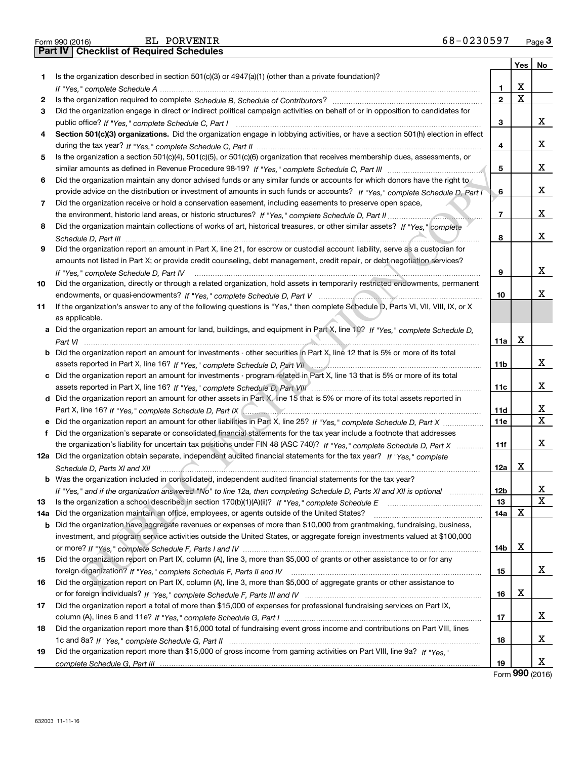Part IV | Checklist of Required Schedules

|     |                                                                                                                                      |                 | Yes | No |
|-----|--------------------------------------------------------------------------------------------------------------------------------------|-----------------|-----|----|
| 1.  | Is the organization described in section $501(c)(3)$ or $4947(a)(1)$ (other than a private foundation)?                              |                 |     |    |
|     |                                                                                                                                      | 1               | X   |    |
| 2   |                                                                                                                                      | $\overline{2}$  | X   |    |
| 3   | Did the organization engage in direct or indirect political campaign activities on behalf of or in opposition to candidates for      |                 |     |    |
|     |                                                                                                                                      | 3               |     | x  |
| 4   |                                                                                                                                      |                 |     |    |
|     | Section 501(c)(3) organizations. Did the organization engage in lobbying activities, or have a section 501(h) election in effect     |                 |     | х  |
|     |                                                                                                                                      | 4               |     |    |
| 5   | Is the organization a section 501(c)(4), 501(c)(5), or 501(c)(6) organization that receives membership dues, assessments, or         |                 |     | X  |
|     |                                                                                                                                      | 5               |     |    |
| 6   | Did the organization maintain any donor advised funds or any similar funds or accounts for which donors have the right to            |                 |     |    |
|     | provide advice on the distribution or investment of amounts in such funds or accounts? If "Yes," complete Schedule D, Part I         | 6               |     | x  |
| 7   | Did the organization receive or hold a conservation easement, including easements to preserve open space,                            |                 |     |    |
|     |                                                                                                                                      | $\overline{7}$  |     | X  |
| 8   | Did the organization maintain collections of works of art, historical treasures, or other similar assets? If "Yes," complete         |                 |     |    |
|     |                                                                                                                                      | 8               |     | x  |
| 9   | Did the organization report an amount in Part X, line 21, for escrow or custodial account liability, serve as a custodian for        |                 |     |    |
|     | amounts not listed in Part X; or provide credit counseling, debt management, credit repair, or debt negotiation services?            |                 |     |    |
|     | If "Yes," complete Schedule D, Part IV                                                                                               | 9               |     | X  |
| 10  | Did the organization, directly or through a related organization, hold assets in temporarily restricted endowments, permanent        |                 |     |    |
|     |                                                                                                                                      | 10              |     | x  |
| 11  | If the organization's answer to any of the following questions is "Yes," then complete Schedule D, Parts VI, VIII, VIII, IX, or X    |                 |     |    |
|     | as applicable.                                                                                                                       |                 |     |    |
|     | a Did the organization report an amount for land, buildings, and equipment in Part X, line 10? If "Yes," complete Schedule D,        |                 |     |    |
|     |                                                                                                                                      | 11a             | х   |    |
|     | <b>b</b> Did the organization report an amount for investments - other securities in Part X, line 12 that is 5% or more of its total |                 |     |    |
|     |                                                                                                                                      | 11 <sub>b</sub> |     | x  |
|     | assets reported in Part X, line 16? If "Yes," complete Schedule D, Part VII                                                          |                 |     |    |
|     | c Did the organization report an amount for investments - program related in Part X, line 13 that is 5% or more of its total         |                 |     | x  |
|     |                                                                                                                                      | 11c             |     |    |
|     | d Did the organization report an amount for other assets in Part X, line 15 that is 5% or more of its total assets reported in       |                 |     |    |
|     |                                                                                                                                      | 11d             |     | х  |
|     | e Did the organization report an amount for other liabilities in Part X, line 25? If "Yes," complete Schedule D, Part X              | 11e             |     | х  |
|     | Did the organization's separate or consolidated financial statements for the tax year include a footnote that addresses              |                 |     |    |
|     | the organization's liability for uncertain tax positions under FIN 48 (ASC 740)? If "Yes," complete Schedule D, Part X               | 11f             |     | x  |
|     | 12a Did the organization obtain separate, independent audited financial statements for the tax year? If "Yes." complete              |                 |     |    |
|     | Schedule D, Parts XI and XII                                                                                                         | 12a             | x   |    |
|     | <b>b</b> Was the organization included in consolidated, independent audited financial statements for the tax year?                   |                 |     |    |
|     | If "Yes," and if the organization answered "No" to line 12a, then completing Schedule D, Parts XI and XII is optional                | 12b             |     | X  |
| 13  | Is the organization a school described in section 170(b)(1)(A)(ii)? If "Yes," complete Schedule E                                    | 13              |     | Х  |
| 14a | Did the organization maintain an office, employees, or agents outside of the United States?                                          | 14a             | x   |    |
|     | b Did the organization have aggregate revenues or expenses of more than \$10,000 from grantmaking, fundraising, business,            |                 |     |    |
|     | investment, and program service activities outside the United States, or aggregate foreign investments valued at \$100,000           |                 |     |    |
|     |                                                                                                                                      | 14b             | х   |    |
| 15  | Did the organization report on Part IX, column (A), line 3, more than \$5,000 of grants or other assistance to or for any            |                 |     |    |
|     |                                                                                                                                      | 15              |     | x  |
| 16  | Did the organization report on Part IX, column (A), line 3, more than \$5,000 of aggregate grants or other assistance to             |                 |     |    |
|     |                                                                                                                                      | 16              | x   |    |
| 17  | Did the organization report a total of more than \$15,000 of expenses for professional fundraising services on Part IX,              |                 |     |    |
|     |                                                                                                                                      | 17              |     | x  |
| 18  | Did the organization report more than \$15,000 total of fundraising event gross income and contributions on Part VIII, lines         |                 |     |    |
|     |                                                                                                                                      | 18              |     | x  |
|     |                                                                                                                                      |                 |     |    |
| 19  | Did the organization report more than \$15,000 of gross income from gaming activities on Part VIII, line 9a? If "Yes."               |                 |     |    |
|     |                                                                                                                                      | 19              |     | x  |

Form 990 (2016)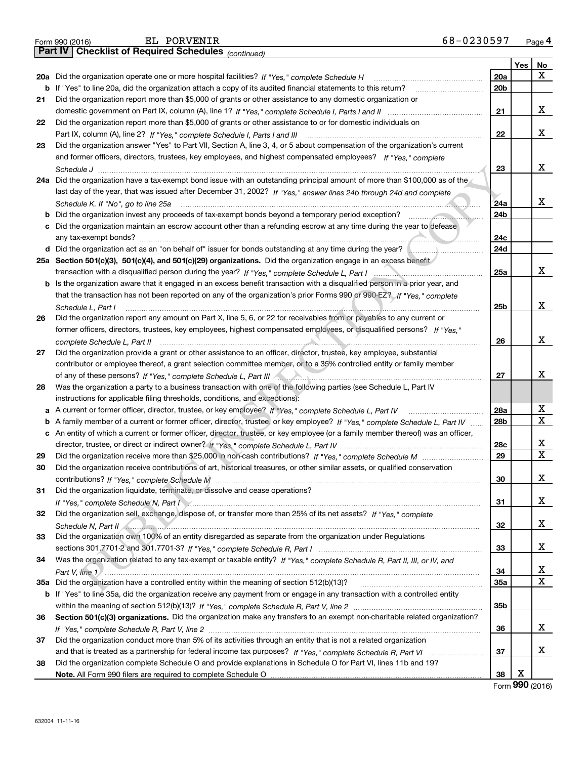|    | 68-0230597<br>EL PORVENIR<br>Form 990 (2016)                                                                                        |                 |                  | Page 4                  |
|----|-------------------------------------------------------------------------------------------------------------------------------------|-----------------|------------------|-------------------------|
|    | Part IV   Checklist of Required Schedules (continued)                                                                               |                 |                  |                         |
|    |                                                                                                                                     |                 | Yes <sub>1</sub> | No                      |
|    | 20a Did the organization operate one or more hospital facilities? If "Yes," complete Schedule H                                     | 20a             |                  | х                       |
|    | <b>b</b> If "Yes" to line 20a, did the organization attach a copy of its audited financial statements to this return?<br>.          | 20 <sub>b</sub> |                  |                         |
| 21 | Did the organization report more than \$5,000 of grants or other assistance to any domestic organization or                         |                 |                  |                         |
|    |                                                                                                                                     | 21              |                  | x                       |
| 22 | Did the organization report more than \$5,000 of grants or other assistance to or for domestic individuals on                       |                 |                  |                         |
|    |                                                                                                                                     | 22              |                  | x                       |
| 23 | Did the organization answer "Yes" to Part VII, Section A, line 3, 4, or 5 about compensation of the organization's current          |                 |                  |                         |
|    | and former officers, directors, trustees, key employees, and highest compensated employees? If "Yes," complete                      |                 |                  |                         |
|    |                                                                                                                                     | 23              |                  | X                       |
|    | 24a Did the organization have a tax-exempt bond issue with an outstanding principal amount of more than \$100,000 as of the         |                 |                  |                         |
|    | last day of the year, that was issued after December 31, 2002? If "Yes," answer lines 24b through 24d and complete                  |                 |                  |                         |
|    | Schedule K. If "No", go to line 25a                                                                                                 | 24a             |                  | x                       |
|    | b Did the organization invest any proceeds of tax-exempt bonds beyond a temporary period exception?                                 | 24b             |                  |                         |
|    | c Did the organization maintain an escrow account other than a refunding escrow at any time during the year to defease              |                 |                  |                         |
|    |                                                                                                                                     | 24c             |                  |                         |
|    | d Did the organization act as an "on behalf of" issuer for bonds outstanding at any time during the year?                           | 24d             |                  |                         |
|    | 25a Section 501(c)(3), 501(c)(4), and 501(c)(29) organizations. Did the organization engage in an excess benefit                    |                 |                  |                         |
|    |                                                                                                                                     | 25a             |                  | x                       |
|    | <b>b</b> Is the organization aware that it engaged in an excess benefit transaction with a disqualified person in a prior year, and |                 |                  |                         |
|    | that the transaction has not been reported on any of the organization's prior Forms 990 or 990-EZ? If "Yes," complete               |                 |                  |                         |
|    | Schedule L, Part I                                                                                                                  | 25b             |                  | x                       |
| 26 | Did the organization report any amount on Part X, line 5, 6, or 22 for receivables from or payables to any current or               |                 |                  |                         |
|    | former officers, directors, trustees, key employees, highest compensated employees, or disqualified persons? If "Yes."              |                 |                  |                         |
|    | complete Schedule L, Part II                                                                                                        | 26              |                  | X                       |
| 27 | Did the organization provide a grant or other assistance to an officer, director, trustee, key employee, substantial                |                 |                  |                         |
|    | contributor or employee thereof, a grant selection committee member, or to a 35% controlled entity or family member                 |                 |                  |                         |
|    |                                                                                                                                     | 27              |                  | х                       |
| 28 | Was the organization a party to a business transaction with one of the following parties (see Schedule L, Part IV                   |                 |                  |                         |
|    | instructions for applicable filing thresholds, conditions, and exceptions):                                                         |                 |                  |                         |
|    | a A current or former officer, director, trustee, or key employee? If "Yes," complete Schedule L, Part IV                           | 28a             |                  | х                       |
|    | b A family member of a current or former officer, director, trustee, or key employee? If "Yes," complete Schedule L, Part IV        | 28 <sub>b</sub> |                  | $\mathbf X$             |
|    | c An entity of which a current or former officer, director, trustee, or key employee (or a family member thereof) was an officer,   |                 |                  |                         |
|    |                                                                                                                                     | 28c             |                  | х                       |
| 29 |                                                                                                                                     | 29              |                  | $\overline{\mathbf{x}}$ |
| 30 | Did the organization receive contributions of art, historical treasures, or other similar assets, or qualified conservation         |                 |                  |                         |
|    |                                                                                                                                     | 30              |                  | х                       |
| 31 | Did the organization liquidate, terminate, or dissolve and cease operations?                                                        |                 |                  |                         |
|    | If "Yes," complete Schedule N, Part I Machinery and the component of the Schedule N, Part I Machinery and the                       | 31              |                  | х                       |
| 32 | Did the organization sell, exchange, dispose of, or transfer more than 25% of its net assets? If "Yes," complete                    |                 |                  |                         |
|    | Schedule N, Part II / Annual March 2014 - Annual March 2014 - Annual March 2014 - Annual March 2014 - Annual Ma                     | 32              |                  | х                       |
| 33 | Did the organization own 100% of an entity disregarded as separate from the organization under Regulations                          |                 |                  |                         |
|    |                                                                                                                                     | 33              |                  | х                       |
| 34 | Was the organization related to any tax-exempt or taxable entity? If "Yes," complete Schedule R, Part II, III, or IV, and           |                 |                  |                         |
|    | Part V, line $1$                                                                                                                    | 34              |                  | х                       |
|    |                                                                                                                                     | <b>35a</b>      |                  | $\mathbf X$             |
|    | b If "Yes" to line 35a, did the organization receive any payment from or engage in any transaction with a controlled entity         |                 |                  |                         |
|    |                                                                                                                                     | 35b             |                  |                         |
| 36 | Section 501(c)(3) organizations. Did the organization make any transfers to an exempt non-charitable related organization?          |                 |                  |                         |
|    |                                                                                                                                     | 36              |                  | х                       |
| 37 | Did the organization conduct more than 5% of its activities through an entity that is not a related organization                    |                 |                  |                         |
|    |                                                                                                                                     | 37              |                  | х                       |
| 38 | Did the organization complete Schedule O and provide explanations in Schedule O for Part VI, lines 11b and 19?                      |                 |                  |                         |
|    |                                                                                                                                     | 38              | X                |                         |
|    |                                                                                                                                     |                 |                  |                         |

Form 990 (2016)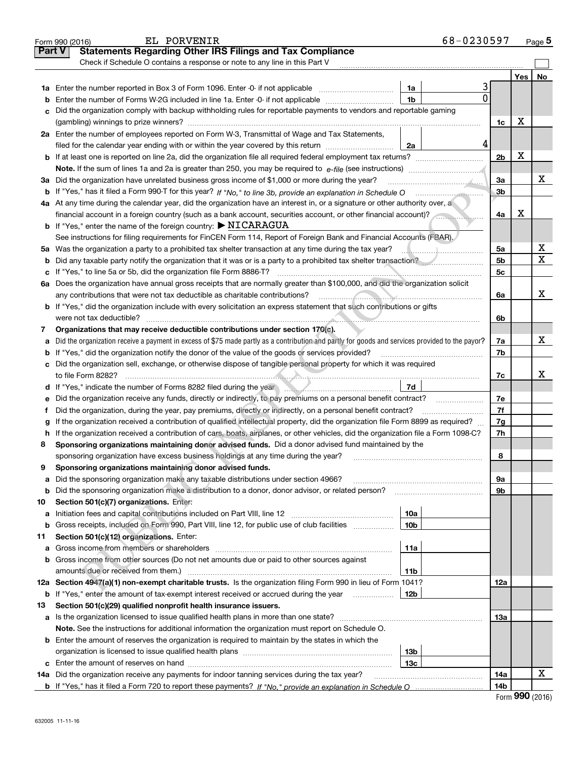|               | EL PORVENIR<br>Form 990 (2016)                                                                                                                                                                                                 |                 | 68-0230597 |                |     | Page $5$ |
|---------------|--------------------------------------------------------------------------------------------------------------------------------------------------------------------------------------------------------------------------------|-----------------|------------|----------------|-----|----------|
| <b>Part V</b> | <b>Statements Regarding Other IRS Filings and Tax Compliance</b>                                                                                                                                                               |                 |            |                |     |          |
|               | Check if Schedule O contains a response or note to any line in this Part V                                                                                                                                                     |                 |            |                |     |          |
|               |                                                                                                                                                                                                                                |                 |            |                | Yes | No       |
|               |                                                                                                                                                                                                                                | 1a              | 3          |                |     |          |
| b             | Enter the number of Forms W-2G included in line 1a. Enter -0- if not applicable                                                                                                                                                | 1 <sub>b</sub>  | $\Omega$   |                |     |          |
| c             | Did the organization comply with backup withholding rules for reportable payments to vendors and reportable gaming                                                                                                             |                 |            |                |     |          |
|               |                                                                                                                                                                                                                                |                 |            | 1c             | X   |          |
|               | 2a Enter the number of employees reported on Form W-3, Transmittal of Wage and Tax Statements,                                                                                                                                 |                 |            |                |     |          |
|               | filed for the calendar year ending with or within the year covered by this return                                                                                                                                              | 2a              | 4          |                |     |          |
|               |                                                                                                                                                                                                                                |                 |            | 2 <sub>b</sub> | X   |          |
|               |                                                                                                                                                                                                                                |                 |            |                |     |          |
|               | 3a Did the organization have unrelated business gross income of \$1,000 or more during the year?                                                                                                                               |                 |            | За             |     | х        |
| b             |                                                                                                                                                                                                                                |                 |            | 3b             |     |          |
|               | 4a At any time during the calendar year, did the organization have an interest in, or a signature or other authority over, a                                                                                                   |                 |            |                |     |          |
|               | financial account in a foreign country (such as a bank account, securities account, or other financial account)?                                                                                                               |                 |            | 4a             | х   |          |
|               | <b>b</b> If "Yes," enter the name of the foreign country: $\triangleright$ NICARAGUA                                                                                                                                           |                 |            |                |     |          |
|               | See instructions for filing requirements for FinCEN Form 114, Report of Foreign Bank and Financial Accounts (FBAR).                                                                                                            |                 |            |                |     |          |
|               |                                                                                                                                                                                                                                |                 |            | 5a             |     | х        |
| b             | Did any taxable party notify the organization that it was or is a party to a prohibited tax shelter transaction?                                                                                                               |                 |            | 5b             |     | X        |
| c             |                                                                                                                                                                                                                                |                 |            | 5c             |     |          |
|               | 6a Does the organization have annual gross receipts that are normally greater than \$100,000, and did the organization solicit                                                                                                 |                 |            |                |     |          |
|               |                                                                                                                                                                                                                                |                 |            | 6a             |     | x        |
|               | <b>b</b> If "Yes," did the organization include with every solicitation an express statement that such contributions or gifts                                                                                                  |                 |            |                |     |          |
|               | were not tax deductible?                                                                                                                                                                                                       |                 |            | 6b             |     |          |
| 7             | Organizations that may receive deductible contributions under section 170(c).                                                                                                                                                  |                 |            |                |     |          |
| а             | Did the organization receive a payment in excess of \$75 made partly as a contribution and partly for goods and services provided to the payor?                                                                                |                 |            | 7a             |     | х        |
| b             | If "Yes," did the organization notify the donor of the value of the goods or services provided?                                                                                                                                |                 |            | 7b             |     |          |
|               | c Did the organization sell, exchange, or otherwise dispose of tangible personal property for which it was required                                                                                                            |                 |            |                |     |          |
|               |                                                                                                                                                                                                                                |                 |            | 7c             |     | x        |
|               | d If "Yes," indicate the number of Forms 8282 filed during the year manufacture in the set of the number of Forms 8282 filed during the year manufacture in the set of the number of Forms 8282 filed during the year manufact | 7d              |            |                |     |          |
| е             | Did the organization receive any funds, directly or indirectly, to pay premiums on a personal benefit contract?                                                                                                                |                 |            | 7e             |     |          |
| f             | Did the organization, during the year, pay premiums, directly or indirectly, on a personal benefit contract?                                                                                                                   |                 |            | 7f             |     |          |
| g             | If the organization received a contribution of qualified intellectual property, did the organization file Form 8899 as required?                                                                                               |                 |            | 7g             |     |          |
| h             | If the organization received a contribution of cars, boats, airplanes, or other vehicles, did the organization file a Form 1098-C?                                                                                             |                 |            | 7h             |     |          |
| 8             | Sponsoring organizations maintaining donor advised funds. Did a donor advised fund maintained by the                                                                                                                           |                 |            |                |     |          |
|               | sponsoring organization have excess business holdings at any time during the year?                                                                                                                                             |                 |            | 8              |     |          |
|               | Sponsoring organizations maintaining donor advised funds.                                                                                                                                                                      |                 |            |                |     |          |
| а             | Did the sponsoring organization make any taxable distributions under section 4966?                                                                                                                                             |                 |            | 9а             |     |          |
| b             | Did the sponsoring organization make a distribution to a donor, donor advisor, or related person?                                                                                                                              |                 |            | 9b             |     |          |
| 10            | Section 501(c)(7) organizations. Enter:                                                                                                                                                                                        |                 |            |                |     |          |
| а             | Initiation fees and capital contributions included on Part VIII, line 12 <i>manuarous controllers</i>                                                                                                                          | 10a             |            |                |     |          |
| b             | Gross receipts, included on Form 990, Part VIII, line 12, for public use of club facilities                                                                                                                                    | 10 <sub>b</sub> |            |                |     |          |
| 11            | Section 501(c)(12) organizations. Enter:                                                                                                                                                                                       |                 |            |                |     |          |
| а             | Gross income from members or shareholders                                                                                                                                                                                      | 11a             |            |                |     |          |
| b             | Gross income from other sources (Do not net amounts due or paid to other sources against                                                                                                                                       |                 |            |                |     |          |
|               | amounts due or received from them.)                                                                                                                                                                                            | 11b             |            |                |     |          |
|               | 12a Section 4947(a)(1) non-exempt charitable trusts. Is the organization filing Form 990 in lieu of Form 1041?                                                                                                                 |                 |            | 12a            |     |          |
|               | <b>b</b> If "Yes," enter the amount of tax-exempt interest received or accrued during the year                                                                                                                                 | 12b             |            |                |     |          |
| 13            | Section 501(c)(29) qualified nonprofit health insurance issuers.                                                                                                                                                               |                 |            |                |     |          |
|               | a Is the organization licensed to issue qualified health plans in more than one state?                                                                                                                                         |                 |            | 13а            |     |          |
|               | Note. See the instructions for additional information the organization must report on Schedule O.                                                                                                                              |                 |            |                |     |          |
|               | <b>b</b> Enter the amount of reserves the organization is required to maintain by the states in which the                                                                                                                      |                 |            |                |     |          |
|               |                                                                                                                                                                                                                                | 13b             |            |                |     |          |
|               |                                                                                                                                                                                                                                | 13с             |            |                |     |          |
|               | 14a Did the organization receive any payments for indoor tanning services during the tax year?                                                                                                                                 |                 |            | 14a            |     | х        |
|               |                                                                                                                                                                                                                                |                 |            | 14b            |     |          |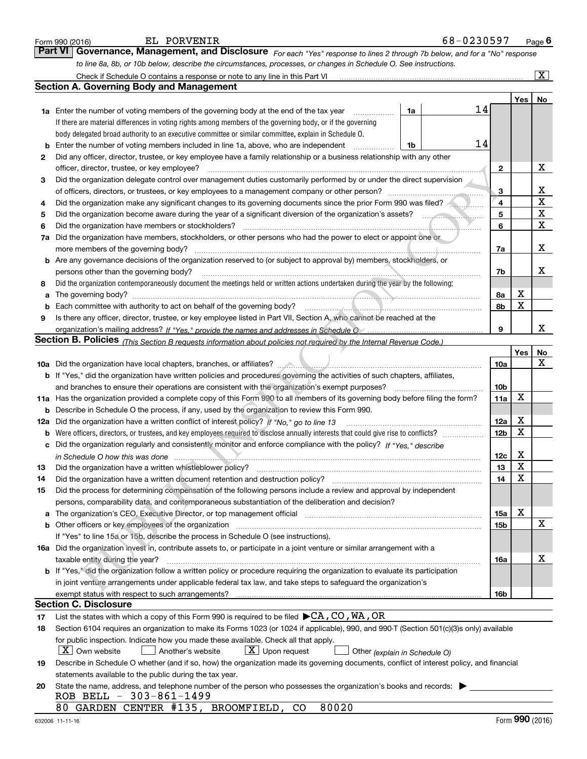|    | EL PORVENIR<br>Form 990 (2016)                                                                                                                                                                                                |    | 68-0230597 |                         |                         | Page $6$                |
|----|-------------------------------------------------------------------------------------------------------------------------------------------------------------------------------------------------------------------------------|----|------------|-------------------------|-------------------------|-------------------------|
|    | <b>Part VI</b><br>Governance, Management, and Disclosure For each "Yes" response to lines 2 through 7b below, and for a "No" response                                                                                         |    |            |                         |                         |                         |
|    | to line 8a, 8b, or 10b below, describe the circumstances, processes, or changes in Schedule O. See instructions.                                                                                                              |    |            |                         |                         |                         |
|    |                                                                                                                                                                                                                               |    |            |                         |                         | $\overline{\mathbf{x}}$ |
|    | <b>Section A. Governing Body and Management</b>                                                                                                                                                                               |    |            |                         |                         |                         |
|    |                                                                                                                                                                                                                               |    |            |                         | Yes                     | No                      |
|    | <b>1a</b> Enter the number of voting members of the governing body at the end of the tax year                                                                                                                                 | 1a | 14         |                         |                         |                         |
|    | If there are material differences in voting rights among members of the governing body, or if the governing                                                                                                                   |    |            |                         |                         |                         |
|    | body delegated broad authority to an executive committee or similar committee, explain in Schedule O.                                                                                                                         |    |            |                         |                         |                         |
| b  | Enter the number of voting members included in line 1a, above, who are independent                                                                                                                                            | 1b | 14         |                         |                         |                         |
| 2  | Did any officer, director, trustee, or key employee have a family relationship or a business relationship with any other                                                                                                      |    |            |                         |                         |                         |
|    | officer, director, trustee, or key employee?                                                                                                                                                                                  |    |            | 2                       |                         | x                       |
| 3  | Did the organization delegate control over management duties customarily performed by or under the direct supervision                                                                                                         |    |            |                         |                         |                         |
|    |                                                                                                                                                                                                                               |    |            | 3                       |                         | х                       |
| 4  | Did the organization make any significant changes to its governing documents since the prior Form 990 was filed?                                                                                                              |    |            | $\overline{\mathbf{4}}$ |                         | X                       |
| 5  |                                                                                                                                                                                                                               |    |            | 5                       |                         | $\mathbf X$             |
| 6  | Did the organization have members or stockholders?                                                                                                                                                                            |    |            | 6                       |                         | $\mathbf X$             |
| 7a | Did the organization have members, stockholders, or other persons who had the power to elect or appoint one or                                                                                                                |    |            |                         |                         |                         |
|    | more members of the governing body?                                                                                                                                                                                           |    |            | 7a                      |                         | x                       |
|    | <b>b</b> Are any governance decisions of the organization reserved to (or subject to approval by) members, stockholders, or                                                                                                   |    |            |                         |                         |                         |
|    | persons other than the governing body?                                                                                                                                                                                        |    |            | 7b                      |                         | x                       |
| 8  | Did the organization contemporaneously document the meetings held or written actions undertaken during the year by the following:                                                                                             |    |            |                         |                         |                         |
| a  |                                                                                                                                                                                                                               |    |            | 8а                      | х                       |                         |
|    | Each committee with authority to act on behalf of the governing body?                                                                                                                                                         |    |            | 8b                      | x                       |                         |
| 9  | Is there any officer, director, trustee, or key employee listed in Part VII, Section A, who cannot be reached at the                                                                                                          |    |            |                         |                         |                         |
|    | organization's mailing address? If "Yes." provide the names and addresses in Schedule O (manumano mail in the                                                                                                                 |    |            | 9                       |                         | x                       |
|    | <b>Section B. Policies</b> (This Section B requests information about policies not required by the Internal Revenue Code.)                                                                                                    |    |            |                         |                         |                         |
|    |                                                                                                                                                                                                                               |    |            |                         | Yes                     | No                      |
|    |                                                                                                                                                                                                                               |    |            | 10a                     |                         | x                       |
|    | <b>b</b> If "Yes," did the organization have written policies and procedures governing the activities of such chapters, affiliates,                                                                                           |    |            |                         |                         |                         |
|    | and branches to ensure their operations are consistent with the organization's exempt purposes?                                                                                                                               |    |            | 10 <sub>b</sub>         |                         |                         |
|    | 11a Has the organization provided a complete copy of this Form 990 to all members of its governing body before filing the form?                                                                                               |    |            | 11a                     | X                       |                         |
| b  | Describe in Schedule O the process, if any, used by the organization to review this Form 990.                                                                                                                                 |    |            |                         |                         |                         |
|    | <b>12a</b> Did the organization have a written conflict of interest policy? If "No," go to line 13                                                                                                                            |    |            | 12a                     | х                       |                         |
|    | <b>b</b> Were officers, directors, or trustees, and key employees required to disclose annually interests that could give rise to conflicts?                                                                                  |    |            | 12 <sub>b</sub>         | X                       |                         |
|    | c Did the organization regularly and consistently monitor and enforce compliance with the policy? If "Yes," describe                                                                                                          |    |            |                         |                         |                         |
|    | in Schedule O how this was done manufactured and contain an account of the schedule O how this was done                                                                                                                       |    |            | 12c                     | х                       |                         |
| 13 | Did the organization have a written whistleblower policy?                                                                                                                                                                     |    |            | 13                      | $\overline{\mathbf{x}}$ |                         |
| 14 | Did the organization have a written document retention and destruction policy? manufactured and the organization have a written document retention and destruction policy?                                                    |    |            | 14                      | X                       |                         |
| 15 | Did the process for determining compensation of the following persons include a review and approval by independent                                                                                                            |    |            |                         |                         |                         |
|    | persons, comparability data, and contemporaneous substantiation of the deliberation and decision?                                                                                                                             |    |            |                         |                         |                         |
| a  | The organization's CEO, Executive Director, or top management official manufactured content of the organization's CEO, Executive Director, or top management official                                                         |    |            | 15a                     | x                       |                         |
|    | b Other officers or key employees of the organization manufactured content to the original content of the organization manufactured content of the organization manufactured content of the organization manufactured content |    |            | 15b                     |                         | X                       |
|    | If "Yes" to line 15a or 15b, describe the process in Schedule O (see instructions).                                                                                                                                           |    |            |                         |                         |                         |
|    | 16a Did the organization invest in, contribute assets to, or participate in a joint venture or similar arrangement with a                                                                                                     |    |            |                         |                         |                         |
|    | taxable entity during the year?                                                                                                                                                                                               |    |            | 16a                     |                         | x                       |
|    | b If "Yes," did the organization follow a written policy or procedure requiring the organization to evaluate its participation                                                                                                |    |            |                         |                         |                         |
|    | in joint venture arrangements under applicable federal tax law, and take steps to safeguard the organization's                                                                                                                |    |            |                         |                         |                         |
|    |                                                                                                                                                                                                                               |    |            | 16b                     |                         |                         |
|    | <b>Section C. Disclosure</b>                                                                                                                                                                                                  |    |            |                         |                         |                         |
| 17 | List the states with which a copy of this Form 990 is required to be filed $\blacktriangleright$ CA, CO, WA, OR                                                                                                               |    |            |                         |                         |                         |
| 18 | Section 6104 requires an organization to make its Forms 1023 (or 1024 if applicable), 990, and 990-T (Section 501(c)(3)s only) available                                                                                      |    |            |                         |                         |                         |
|    | for public inspection. Indicate how you made these available. Check all that apply.                                                                                                                                           |    |            |                         |                         |                         |
|    | X   Own website<br>$X$ Upon request<br>Another's website<br>Other (explain in Schedule O)                                                                                                                                     |    |            |                         |                         |                         |
| 19 | Describe in Schedule O whether (and if so, how) the organization made its governing documents, conflict of interest policy, and financial                                                                                     |    |            |                         |                         |                         |
|    | statements available to the public during the tax year.                                                                                                                                                                       |    |            |                         |                         |                         |
| 20 | State the name, address, and telephone number of the person who possesses the organization's books and records:                                                                                                               |    |            |                         |                         |                         |
|    | ROB BELL - 303-861-1499                                                                                                                                                                                                       |    |            |                         |                         |                         |
|    | 80020<br>80 GARDEN CENTER #135, BROOMFIELD, CO                                                                                                                                                                                |    |            |                         |                         |                         |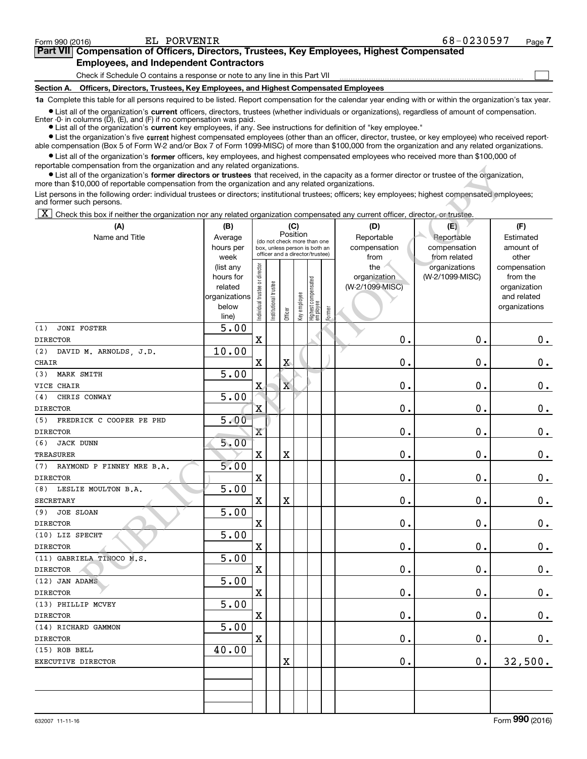$\begin{array}{c} \hline \end{array}$ 

## Part VII Compensation of Officers, Directors, Trustees, Key Employees, Highest Compensated Employees, and Independent Contractors

Check if Schedule O contains a response or note to any line in this Part VII

Section A. Officers, Directors, Trustees, Key Employees, and Highest Compensated Employees

1a Complete this table for all persons required to be listed. Report compensation for the calendar year ending with or within the organization's tax year.

Ist all of the organization's current officers, directors, trustees (whether individuals or organizations), regardless of amount of compensation. Enter -0- in columns (D), (E), and (F) if no compensation was paid.

**Examber 1 List all of the organization's current** key employees, if any. See instructions for definition of "key employee."

Ist the organization's five current highest compensated employees (other than an officer, director, trustee, or key employee) who received reportable compensation (Box 5 of Form W-2 and/or Box 7 of Form 1099-MISC) of more than \$100,000 from the organization and any related organizations.

 $\bullet$  List all of the organization's former officers, key employees, and highest compensated employees who received more than \$100,000 of reportable compensation from the organization and any related organizations.

| reportable compensation from the organization and any related organizations.<br>• List all of the organization's former directors or trustees that received, in the capacity as a former director or trustee of the organization, |                   |                                |                 |                                                              |              |                                   |        |                 |                 |               |
|-----------------------------------------------------------------------------------------------------------------------------------------------------------------------------------------------------------------------------------|-------------------|--------------------------------|-----------------|--------------------------------------------------------------|--------------|-----------------------------------|--------|-----------------|-----------------|---------------|
| more than \$10,000 of reportable compensation from the organization and any related organizations.                                                                                                                                |                   |                                |                 |                                                              |              |                                   |        |                 |                 |               |
| List persons in the following order: individual trustees or directors; institutional trustees; officers; key employees; highest compensated employees;<br>and former such persons.                                                |                   |                                |                 |                                                              |              |                                   |        |                 |                 |               |
| ΙX                                                                                                                                                                                                                                |                   |                                |                 |                                                              |              |                                   |        |                 |                 |               |
| Check this box if neither the organization nor any related organization compensated any current officer, director, or trustee.<br>(A)                                                                                             |                   |                                |                 |                                                              |              |                                   |        | (D)             | (E)             | (F)           |
| Name and Title                                                                                                                                                                                                                    | (B)<br>Average    |                                |                 | Position                                                     | (C)          |                                   |        | Reportable      | Reportable      | Estimated     |
|                                                                                                                                                                                                                                   | hours per         |                                |                 | (do not check more than one<br>box, unless person is both an |              |                                   |        | compensation    | compensation    | amount of     |
|                                                                                                                                                                                                                                   | week              |                                |                 | officer and a director/trustee)                              |              |                                   |        | from            | from related    | other         |
|                                                                                                                                                                                                                                   | (list any         |                                |                 |                                                              |              |                                   |        | the             | organizations   | compensation  |
|                                                                                                                                                                                                                                   | hours for         |                                |                 |                                                              |              |                                   |        | organization    | (W-2/1099-MISC) | from the      |
|                                                                                                                                                                                                                                   | related           |                                | I trustee       |                                                              |              |                                   |        | (W-2/1099-MISC) |                 | organization  |
|                                                                                                                                                                                                                                   | organizations     |                                |                 |                                                              |              |                                   |        |                 |                 | and related   |
|                                                                                                                                                                                                                                   | below<br>line)    | Individual trustee or director | Institutional t | Officer                                                      | Key employee | Highest compensated<br>  employee | Former |                 |                 | organizations |
| (1)<br><b>JONI FOSTER</b>                                                                                                                                                                                                         | $\overline{5.00}$ |                                |                 |                                                              |              |                                   |        |                 |                 |               |
| <b>DIRECTOR</b>                                                                                                                                                                                                                   |                   | $\overline{\mathbf{X}}$        |                 |                                                              |              |                                   |        | $\mathbf 0$ .   | 0.              | 0.            |
| (2)<br>DAVID M. ARNOLDS, J.D.                                                                                                                                                                                                     | 10.00             |                                |                 |                                                              |              |                                   |        |                 |                 |               |
| <b>CHAIR</b>                                                                                                                                                                                                                      |                   | $\mathbf X$                    |                 | $\mathbf X$                                                  |              |                                   |        | 0.              | 0.              | 0.            |
| MARK SMITH<br>(3)                                                                                                                                                                                                                 | 5.00              |                                |                 |                                                              |              |                                   |        |                 |                 |               |
| VICE CHAIR                                                                                                                                                                                                                        |                   | $\mathbf x$                    |                 | $\overline{\mathbf{X}}$                                      |              |                                   |        | $\mathbf 0$ .   | 0.              | 0.            |
| CHRIS CONWAY<br>(4)                                                                                                                                                                                                               | $\overline{5.00}$ |                                |                 |                                                              |              |                                   |        |                 |                 |               |
| <b>DIRECTOR</b>                                                                                                                                                                                                                   |                   | $\mathbf{x}$                   |                 |                                                              |              |                                   |        | $\mathbf 0$ .   | 0.              | 0.            |
| FREDRICK C COOPER PE PHD<br>(5)                                                                                                                                                                                                   | 5.00              |                                |                 |                                                              |              |                                   |        |                 |                 |               |
| <b>DIRECTOR</b>                                                                                                                                                                                                                   |                   | $\mathbf{x}$                   |                 |                                                              |              |                                   |        | $\mathbf 0$ .   | 0.              | 0.            |
| (6)<br><b>JACK DUNN</b>                                                                                                                                                                                                           | 5.00              |                                |                 |                                                              |              |                                   |        |                 |                 |               |
| <b>TREASURER</b>                                                                                                                                                                                                                  |                   | $\mathbf X$                    |                 | X                                                            |              |                                   |        | $\mathbf 0$ .   | 0.              | 0.            |
| RAYMOND P FINNEY MRE B.A.<br>(7)                                                                                                                                                                                                  | 5.00              |                                |                 |                                                              |              |                                   |        |                 |                 |               |
| <b>DIRECTOR</b>                                                                                                                                                                                                                   |                   | $\overline{\mathbf{X}}$        |                 |                                                              |              |                                   |        | $\mathbf 0$ .   | 0.              | 0.            |
| LESLIE MOULTON B.A.<br>(8)                                                                                                                                                                                                        | 5.00              |                                |                 |                                                              |              |                                   |        |                 |                 |               |
| <b>SECRETARY</b>                                                                                                                                                                                                                  |                   | $\mathbf X$                    |                 | X                                                            |              |                                   |        | $\mathbf 0$ .   | 0.              | 0.            |
| <b>JOE SLOAN</b><br>(9)                                                                                                                                                                                                           | $\overline{5.00}$ |                                |                 |                                                              |              |                                   |        |                 |                 |               |
| <b>DIRECTOR</b>                                                                                                                                                                                                                   |                   | $\overline{\mathbf{X}}$        |                 |                                                              |              |                                   |        | $\mathbf 0$ .   | 0.              | 0.            |
| (10) LIZ SPECHT                                                                                                                                                                                                                   | 5.00              |                                |                 |                                                              |              |                                   |        |                 |                 |               |
| <b>DIRECTOR</b>                                                                                                                                                                                                                   |                   | $\overline{\mathbf{X}}$        |                 |                                                              |              |                                   |        | $\mathbf 0$ .   | 0.              | 0.            |
| (11) GABRIELA TINOCO M.S.<br><b>DIRECTOR</b>                                                                                                                                                                                      | 5.00              | $\overline{\mathbf{X}}$        |                 |                                                              |              |                                   |        | $\mathbf 0$ .   | 0.              | $0$ .         |
| (12) JAN ADAMS                                                                                                                                                                                                                    | 5.00              |                                |                 |                                                              |              |                                   |        |                 |                 |               |
| <b>DIRECTOR</b>                                                                                                                                                                                                                   |                   | X                              |                 |                                                              |              |                                   |        | $\mathbf 0$ .   | 0.              | 0.            |
| (13) PHILLIP MCVEY                                                                                                                                                                                                                | 5.00              |                                |                 |                                                              |              |                                   |        |                 |                 |               |
| <b>DIRECTOR</b>                                                                                                                                                                                                                   |                   | $\overline{\mathbf{X}}$        |                 |                                                              |              |                                   |        | $\mathbf 0$ .   | $\mathbf 0$ .   | $0_{.}$       |
| (14) RICHARD GAMMON                                                                                                                                                                                                               | 5.00              |                                |                 |                                                              |              |                                   |        |                 |                 |               |
| <b>DIRECTOR</b>                                                                                                                                                                                                                   |                   | $\overline{\textbf{X}}$        |                 |                                                              |              |                                   |        | $\mathbf 0$ .   | $0$ .           | 0.            |
| (15) ROB BELL                                                                                                                                                                                                                     | 40.00             |                                |                 |                                                              |              |                                   |        |                 |                 |               |
| EXECUTIVE DIRECTOR                                                                                                                                                                                                                |                   |                                |                 | X                                                            |              |                                   |        | $\mathbf 0$ .   | $\mathbf 0$ .   | 32,500.       |
|                                                                                                                                                                                                                                   |                   |                                |                 |                                                              |              |                                   |        |                 |                 |               |
|                                                                                                                                                                                                                                   |                   |                                |                 |                                                              |              |                                   |        |                 |                 |               |
|                                                                                                                                                                                                                                   |                   |                                |                 |                                                              |              |                                   |        |                 |                 |               |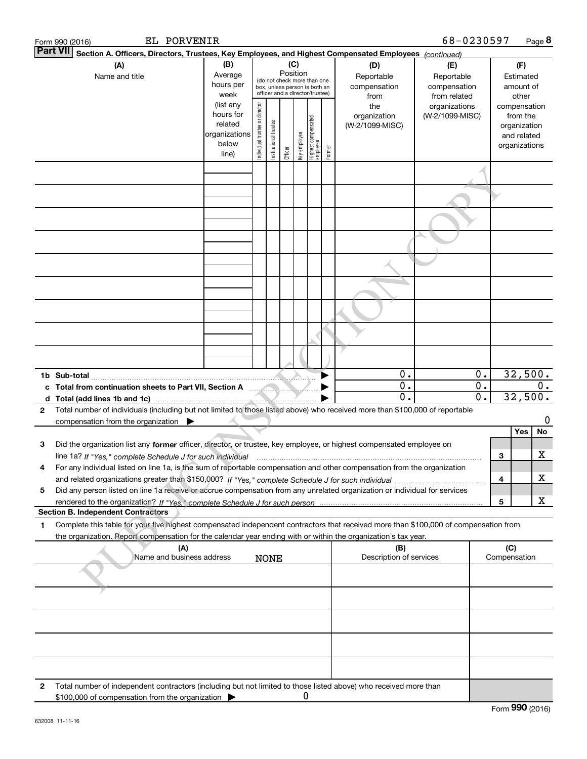| EL PORVENIR<br>Form 990 (2016)                                                                                                                                                                           |                                   |                                |                       |                                                              |              |                                   |        |                                 | 68-0230597                 |                  |     |                             | Page 8 |
|----------------------------------------------------------------------------------------------------------------------------------------------------------------------------------------------------------|-----------------------------------|--------------------------------|-----------------------|--------------------------------------------------------------|--------------|-----------------------------------|--------|---------------------------------|----------------------------|------------------|-----|-----------------------------|--------|
| <b>Part VII</b><br>Section A. Officers, Directors, Trustees, Key Employees, and Highest Compensated Employees (continued)                                                                                |                                   |                                |                       |                                                              |              |                                   |        |                                 |                            |                  |     |                             |        |
| (A)                                                                                                                                                                                                      | (C)<br>(B)<br>Position<br>Average |                                |                       |                                                              |              |                                   |        | (D)                             | (E)                        |                  |     | (F)                         |        |
| Name and title                                                                                                                                                                                           | hours per                         |                                |                       | (do not check more than one<br>box, unless person is both an |              |                                   |        | Reportable<br>compensation      | Reportable<br>compensation |                  |     | Estimated<br>amount of      |        |
|                                                                                                                                                                                                          | week                              |                                |                       | officer and a director/trustee)                              |              |                                   |        | from                            | from related               |                  |     | other                       |        |
|                                                                                                                                                                                                          | (list any                         |                                |                       |                                                              |              |                                   |        | the                             | organizations              |                  |     | compensation                |        |
|                                                                                                                                                                                                          | hours for<br>related              |                                |                       |                                                              |              |                                   |        | organization<br>(W-2/1099-MISC) | (W-2/1099-MISC)            |                  |     | from the                    |        |
|                                                                                                                                                                                                          | organizations                     | Individual trustee or director | Institutional trustee |                                                              |              | Highest compensated<br>  employee |        |                                 |                            |                  |     | organization<br>and related |        |
|                                                                                                                                                                                                          | below                             |                                |                       |                                                              | Key employee |                                   |        |                                 |                            |                  |     | organizations               |        |
|                                                                                                                                                                                                          | line)                             |                                |                       | Officer                                                      |              |                                   | Former |                                 |                            |                  |     |                             |        |
|                                                                                                                                                                                                          |                                   |                                |                       |                                                              |              |                                   |        |                                 |                            |                  |     |                             |        |
|                                                                                                                                                                                                          |                                   |                                |                       |                                                              |              |                                   |        |                                 |                            |                  |     |                             |        |
|                                                                                                                                                                                                          |                                   |                                |                       |                                                              |              |                                   |        |                                 |                            |                  |     |                             |        |
|                                                                                                                                                                                                          |                                   |                                |                       |                                                              |              |                                   |        |                                 |                            |                  |     |                             |        |
|                                                                                                                                                                                                          |                                   |                                |                       |                                                              |              |                                   |        |                                 |                            |                  |     |                             |        |
|                                                                                                                                                                                                          |                                   |                                |                       |                                                              |              |                                   |        |                                 |                            |                  |     |                             |        |
|                                                                                                                                                                                                          |                                   |                                |                       |                                                              |              |                                   |        |                                 |                            |                  |     |                             |        |
|                                                                                                                                                                                                          |                                   |                                |                       |                                                              |              |                                   |        |                                 |                            |                  |     |                             |        |
|                                                                                                                                                                                                          |                                   |                                |                       |                                                              |              |                                   |        |                                 |                            |                  |     |                             |        |
|                                                                                                                                                                                                          |                                   |                                |                       |                                                              |              |                                   |        |                                 |                            |                  |     |                             |        |
|                                                                                                                                                                                                          |                                   |                                |                       |                                                              |              |                                   |        |                                 |                            |                  |     |                             |        |
|                                                                                                                                                                                                          |                                   |                                |                       |                                                              |              |                                   |        | 0.                              |                            | $\mathbf 0$ .    |     | 32,500.                     |        |
|                                                                                                                                                                                                          |                                   |                                |                       |                                                              |              |                                   |        | $0$ .                           |                            | О.               |     |                             | $0$ .  |
|                                                                                                                                                                                                          |                                   |                                |                       |                                                              |              |                                   |        | $\mathbf 0$ .                   |                            | $\overline{0}$ . |     | 32,500.                     |        |
| Total number of individuals (including but not limited to those listed above) who received more than \$100,000 of reportable<br>$\mathbf{2}$<br>compensation from the organization $\blacktriangleright$ |                                   |                                |                       |                                                              |              |                                   |        |                                 |                            |                  |     |                             | 0      |
|                                                                                                                                                                                                          |                                   |                                |                       |                                                              |              |                                   |        |                                 |                            |                  |     | Yes                         | No     |
| Did the organization list any former officer, director, or trustee, key employee, or highest compensated employee on<br>з                                                                                |                                   |                                |                       |                                                              |              |                                   |        |                                 |                            |                  |     |                             |        |
| line 1a? If "Yes," complete Schedule J for such individual                                                                                                                                               |                                   |                                |                       |                                                              |              |                                   |        |                                 |                            |                  | З   |                             | х      |
| For any individual listed on line 1a, is the sum of reportable compensation and other compensation from the organization<br>4                                                                            |                                   |                                |                       |                                                              |              |                                   |        |                                 |                            |                  |     |                             |        |
|                                                                                                                                                                                                          |                                   |                                |                       |                                                              |              |                                   |        |                                 |                            |                  | 4   |                             | х      |
| Did any person listed on line 1a receive or accrue compensation from any unrelated organization or individual for services<br>5                                                                          |                                   |                                |                       |                                                              |              |                                   |        |                                 |                            |                  |     |                             |        |
| <b>Section B. Independent Contractors</b>                                                                                                                                                                |                                   |                                |                       |                                                              |              |                                   |        |                                 |                            |                  | 5   |                             | X      |
| Complete this table for your five highest compensated independent contractors that received more than \$100,000 of compensation from<br>1                                                                |                                   |                                |                       |                                                              |              |                                   |        |                                 |                            |                  |     |                             |        |
| the organization. Report compensation for the calendar year ending with or within the organization's tax year.<br>(A)                                                                                    |                                   |                                |                       |                                                              |              |                                   |        | (B)                             |                            |                  | (C) |                             |        |
| Name and business address                                                                                                                                                                                |                                   |                                | <b>NONE</b>           |                                                              |              |                                   |        | Description of services         |                            |                  |     | Compensation                |        |
|                                                                                                                                                                                                          |                                   |                                |                       |                                                              |              |                                   |        |                                 |                            |                  |     |                             |        |
|                                                                                                                                                                                                          |                                   |                                |                       |                                                              |              |                                   |        |                                 |                            |                  |     |                             |        |
|                                                                                                                                                                                                          |                                   |                                |                       |                                                              |              |                                   |        |                                 |                            |                  |     |                             |        |
|                                                                                                                                                                                                          |                                   |                                |                       |                                                              |              |                                   |        |                                 |                            |                  |     |                             |        |
|                                                                                                                                                                                                          |                                   |                                |                       |                                                              |              |                                   |        |                                 |                            |                  |     |                             |        |
| Total number of independent contractors (including but not limited to those listed above) who received more than<br>2                                                                                    |                                   |                                |                       |                                                              |              |                                   |        |                                 |                            |                  |     |                             |        |
| \$100,000 of compensation from the organization                                                                                                                                                          |                                   |                                |                       |                                                              | 0            |                                   |        |                                 |                            |                  |     |                             |        |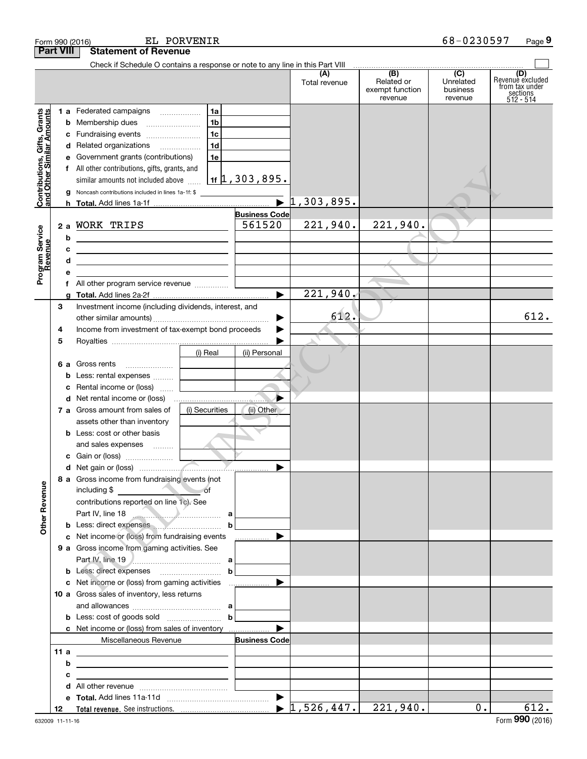|                                                           | Form 990 (2016)    |                                                                                                                                                                                                                                                                                                                                                                                                             | EL PORVENIR                                        |                                                             |                       |                                                 | 68-0230597                                           | Page 9                                                               |
|-----------------------------------------------------------|--------------------|-------------------------------------------------------------------------------------------------------------------------------------------------------------------------------------------------------------------------------------------------------------------------------------------------------------------------------------------------------------------------------------------------------------|----------------------------------------------------|-------------------------------------------------------------|-----------------------|-------------------------------------------------|------------------------------------------------------|----------------------------------------------------------------------|
|                                                           | <b>Part VIII</b>   | <b>Statement of Revenue</b>                                                                                                                                                                                                                                                                                                                                                                                 |                                                    |                                                             |                       |                                                 |                                                      |                                                                      |
|                                                           |                    | Check if Schedule O contains a response or note to any line in this Part VIII                                                                                                                                                                                                                                                                                                                               |                                                    |                                                             | (A)<br>Total revenue  | (B)<br>Related or<br>exempt function<br>revenue | $\overline{(C)}$<br>Unrelated<br>business<br>revenue | (D)<br>Revenue excluded<br>from tax under<br>sections<br>$512 - 514$ |
| Contributions, Gifts, Grants<br>and Other Similar Amounts | b<br>c<br>d<br>h   | 1 a Federated campaigns<br>Membership dues<br>Fundraising events<br>Related organizations<br>Government grants (contributions)<br>f All other contributions, gifts, grants, and<br>similar amounts not included above<br>Noncash contributions included in lines 1a-1f: \$                                                                                                                                  | 1a<br>1b<br>1 <sub>c</sub><br>1 <sub>d</sub><br>1e | $1$ 1f $\frac{1}{2}$ , 303 , 895 .<br>$\blacktriangleright$ | 1,303,895.            |                                                 |                                                      |                                                                      |
| Program Service<br>Revenue                                | b<br>c<br>d<br>f   | 2 a WORK TRIPS<br><u> 1989 - Johann Barbara, martxa alemaniar a</u><br><u> 1989 - Johann Barn, mars ann an t-Amhair ann an t-Amhair ann an t-Amhair ann an t-Amhair ann an t-Amhair ann a</u><br><u> 1989 - Johann Barbara, martin amerikan basar dan berasal dalam basar dalam basar dalam basar dalam basar dala</u>                                                                                      |                                                    | <b>Business Code</b><br>561520                              | 221,940.              | 221,940.                                        |                                                      |                                                                      |
|                                                           | з<br>4<br>5        | Investment income (including dividends, interest, and<br>Income from investment of tax-exempt bond proceeds                                                                                                                                                                                                                                                                                                 |                                                    | $\blacktriangleright$                                       | 221,940.<br>612.      |                                                 |                                                      | 612.                                                                 |
|                                                           | 6а<br>b<br>c<br>d  | Gross rents<br>Less: rental expenses<br>Rental income or (loss)                                                                                                                                                                                                                                                                                                                                             | (i) Real                                           | (ii) Personal                                               |                       |                                                 |                                                      |                                                                      |
|                                                           |                    | 7 a Gross amount from sales of<br>assets other than inventory<br><b>b</b> Less: cost or other basis<br>and sales expenses                                                                                                                                                                                                                                                                                   | (i) Securities                                     | (ii) Other                                                  |                       |                                                 |                                                      |                                                                      |
|                                                           |                    | 1.1.1.1.1.1.1<br>c Gain or (loss)<br>8 a Gross income from fundraising events (not                                                                                                                                                                                                                                                                                                                          |                                                    |                                                             |                       |                                                 |                                                      |                                                                      |
| <b>Other Revenue</b>                                      |                    | $\overline{\phantom{a}}$ of<br>including \$<br>contributions reported on line 1c). See<br>Part IV, line 18<br>b Less: direct expenses                                                                                                                                                                                                                                                                       | $\mathbf b$                                        |                                                             |                       |                                                 |                                                      |                                                                      |
|                                                           |                    | c Net income or (loss) from fundraising events<br>9 a Gross income from gaming activities. See                                                                                                                                                                                                                                                                                                              | $\mathbf b$                                        | <u></u> ▶                                                   |                       |                                                 |                                                      |                                                                      |
|                                                           |                    | 10 a Gross sales of inventory, less returns<br>and allowances $\ldots$ , $a$<br><b>b</b> Less: cost of goods sold $\begin{bmatrix} b & b \end{bmatrix}$                                                                                                                                                                                                                                                     |                                                    |                                                             |                       |                                                 |                                                      |                                                                      |
|                                                           | 11a<br>b<br>с<br>d | Miscellaneous Revenue<br><u>and the state of the state of the state of the state of the state of the state of the state of the state of the state of the state of the state of the state of the state of the state of the state of the state of the state</u><br>the control of the control of the control of the control of the control of the control of<br><u> 1989 - Andrea Andrew Maria (h. 1989).</u> |                                                    | <b>Business Code</b>                                        |                       |                                                 |                                                      |                                                                      |
|                                                           | е<br>12            |                                                                                                                                                                                                                                                                                                                                                                                                             |                                                    |                                                             | $1,526,447.$ 221,940. |                                                 | $0$ .                                                | 612.                                                                 |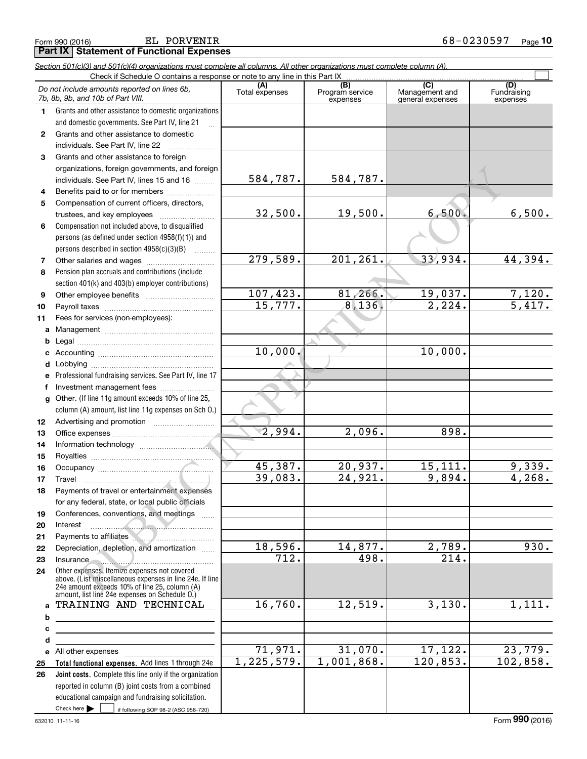Form 990 (2016) EL PORVENIR<br>**Part IX | Statement of Functional Expenses** EL PORVENIR

|                  | Section 501(c)(3) and 501(c)(4) organizations must complete all columns. All other organizations must complete column (A).<br>Check if Schedule O contains a response or note to any line in this Part IX |                               |                             |                                    |                         |
|------------------|-----------------------------------------------------------------------------------------------------------------------------------------------------------------------------------------------------------|-------------------------------|-----------------------------|------------------------------------|-------------------------|
|                  |                                                                                                                                                                                                           |                               | (B)                         | (C)                                | (D)                     |
|                  | Do not include amounts reported on lines 6b,<br>7b, 8b, 9b, and 10b of Part VIII.                                                                                                                         | Total expenses                | Program service<br>expenses | Management and<br>general expenses | Fundraising<br>expenses |
| 1.               | Grants and other assistance to domestic organizations                                                                                                                                                     |                               |                             |                                    |                         |
|                  | and domestic governments. See Part IV, line 21                                                                                                                                                            |                               |                             |                                    |                         |
| $\mathbf{2}$     | Grants and other assistance to domestic                                                                                                                                                                   |                               |                             |                                    |                         |
|                  | individuals. See Part IV, line 22                                                                                                                                                                         |                               |                             |                                    |                         |
| 3                | Grants and other assistance to foreign                                                                                                                                                                    |                               |                             |                                    |                         |
|                  | organizations, foreign governments, and foreign                                                                                                                                                           |                               |                             |                                    |                         |
|                  | individuals. See Part IV, lines 15 and 16                                                                                                                                                                 | 584,787.                      | 584,787.                    |                                    |                         |
| 4                | Benefits paid to or for members                                                                                                                                                                           |                               |                             |                                    |                         |
| 5                | Compensation of current officers, directors,                                                                                                                                                              |                               |                             |                                    |                         |
|                  | trustees, and key employees                                                                                                                                                                               | 32,500.                       | 19,500.                     | 6,500.                             | 6,500.                  |
| 6                | Compensation not included above, to disqualified                                                                                                                                                          |                               |                             |                                    |                         |
|                  | persons (as defined under section 4958(f)(1)) and                                                                                                                                                         |                               |                             |                                    |                         |
|                  | persons described in section $4958(c)(3)(B)$                                                                                                                                                              |                               |                             |                                    |                         |
| 7                |                                                                                                                                                                                                           | 279,589.                      | 201, 261.                   | 33,934.                            | 44,394.                 |
| 8                | Pension plan accruals and contributions (include                                                                                                                                                          |                               |                             |                                    |                         |
|                  | section 401(k) and 403(b) employer contributions)                                                                                                                                                         |                               |                             |                                    |                         |
| 9                |                                                                                                                                                                                                           | 107,423.                      | 81,266.                     | 19,037.                            | $\frac{7,120}{5,417}$ . |
| 10               |                                                                                                                                                                                                           | 15,777.                       | 8, 136.                     | 2,224.                             |                         |
| 11               | Fees for services (non-employees):                                                                                                                                                                        |                               |                             |                                    |                         |
| a                |                                                                                                                                                                                                           |                               |                             |                                    |                         |
| b                |                                                                                                                                                                                                           |                               |                             |                                    |                         |
| c                |                                                                                                                                                                                                           | 10,000.                       |                             | 10,000.                            |                         |
| d                |                                                                                                                                                                                                           |                               |                             |                                    |                         |
| е                | Professional fundraising services. See Part IV, line 17                                                                                                                                                   |                               |                             |                                    |                         |
| f                | Investment management fees                                                                                                                                                                                |                               |                             |                                    |                         |
| g                | Other. (If line 11g amount exceeds 10% of line 25,                                                                                                                                                        |                               |                             |                                    |                         |
|                  | column (A) amount, list line 11g expenses on Sch O.)                                                                                                                                                      |                               |                             |                                    |                         |
| 12 <sup>12</sup> |                                                                                                                                                                                                           |                               |                             |                                    |                         |
| 13               |                                                                                                                                                                                                           | $\overline{2,994}$ .          | 2,096.                      | 898.                               |                         |
| 14               |                                                                                                                                                                                                           |                               |                             |                                    |                         |
| 15               |                                                                                                                                                                                                           |                               |                             |                                    |                         |
| 16               |                                                                                                                                                                                                           | 45,387.                       | 20,937.                     | 15, 111.                           | 9,339.                  |
| 17               |                                                                                                                                                                                                           | 39,083.                       | 24,921.                     | 9,894.                             | 4,268.                  |
| 18               | Payments of travel or entertainment expenses                                                                                                                                                              |                               |                             |                                    |                         |
|                  | for any federal, state, or local public officials                                                                                                                                                         |                               |                             |                                    |                         |
| 19               | Conferences, conventions, and meetings                                                                                                                                                                    |                               |                             |                                    |                         |
| 20               | Interest                                                                                                                                                                                                  |                               |                             |                                    |                         |
| 21               | Payments to affiliates                                                                                                                                                                                    |                               |                             |                                    |                         |
| 22               | Depreciation, depletion, and amortization                                                                                                                                                                 | 18,596.<br>$\overline{712}$ . | 14,877.                     | 2,789.<br>$\overline{214}$ .       | 930.                    |
| 23               | Insurance                                                                                                                                                                                                 |                               | 498.                        |                                    |                         |
| 24               | Other expenses. Itemize expenses not covered<br>above. (List miscellaneous expenses in line 24e. If line<br>24e amount exceeds 10% of line 25, column (A)                                                 |                               |                             |                                    |                         |
|                  | amount, list line 24e expenses on Schedule O.)<br>TRAINING AND TECHNICAL                                                                                                                                  | 16,760.                       | 12,519.                     | 3,130.                             | 1,111.                  |
| a                |                                                                                                                                                                                                           |                               |                             |                                    |                         |
| b                |                                                                                                                                                                                                           |                               |                             |                                    |                         |
| c                |                                                                                                                                                                                                           |                               |                             |                                    |                         |
| d                | <u> 1989 - Johann Stoff, Amerikaansk politiker (</u>                                                                                                                                                      | 71,971.                       | 31,070.                     | 17, 122.                           | 23,779.                 |
|                  | e All other expenses<br>Total functional expenses. Add lines 1 through 24e                                                                                                                                | 1, 225, 579.                  | 1,001,868.                  | 120,853.                           | 102,858.                |
| 25<br>26         | Joint costs. Complete this line only if the organization                                                                                                                                                  |                               |                             |                                    |                         |
|                  | reported in column (B) joint costs from a combined                                                                                                                                                        |                               |                             |                                    |                         |
|                  | educational campaign and fundraising solicitation.                                                                                                                                                        |                               |                             |                                    |                         |
|                  | Check here $\blacktriangleright$<br>if following SOP 98-2 (ASC 958-720)                                                                                                                                   |                               |                             |                                    |                         |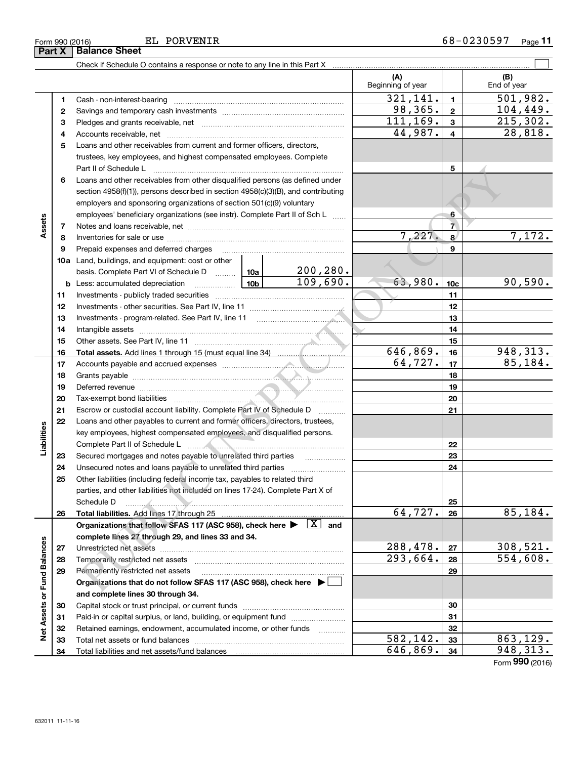$\boxed{\phantom{1}}$ 

EL PORVENIR

|                             |              |                                                                                                                                     |  |           | (A)<br>Beginning of year |                         | (B)<br>End of year   |
|-----------------------------|--------------|-------------------------------------------------------------------------------------------------------------------------------------|--|-----------|--------------------------|-------------------------|----------------------|
|                             | 1.           |                                                                                                                                     |  |           | 321, 141.                | $\mathbf{1}$            | 501,982.             |
|                             | $\mathbf{2}$ |                                                                                                                                     |  |           | 98,365.                  | $\mathbf 2$             | 104,449.             |
|                             | 3            |                                                                                                                                     |  |           | 111, 169.                | 3                       | 215, 302.            |
|                             | 4            |                                                                                                                                     |  |           | 44,987.                  | $\overline{\mathbf{4}}$ | 28,818.              |
|                             | 5            | Loans and other receivables from current and former officers, directors,                                                            |  |           |                          |                         |                      |
|                             |              | trustees, key employees, and highest compensated employees. Complete                                                                |  |           |                          |                         |                      |
|                             |              | Part II of Schedule L                                                                                                               |  | 5         |                          |                         |                      |
|                             | 6            | Loans and other receivables from other disqualified persons (as defined under                                                       |  |           |                          |                         |                      |
|                             |              | section 4958(f)(1)), persons described in section 4958(c)(3)(B), and contributing                                                   |  |           |                          |                         |                      |
|                             |              | employers and sponsoring organizations of section 501(c)(9) voluntary                                                               |  |           |                          |                         |                      |
|                             |              | employees' beneficiary organizations (see instr). Complete Part II of Sch L                                                         |  | 6         |                          |                         |                      |
| Assets                      | 7            |                                                                                                                                     |  |           |                          | $\overline{7}$          |                      |
|                             | 8            |                                                                                                                                     |  |           | 7,227.                   | 8                       | 7,172.               |
|                             | 9            | Prepaid expenses and deferred charges                                                                                               |  |           |                          | 9                       |                      |
|                             |              | <b>10a</b> Land, buildings, and equipment: cost or other                                                                            |  |           |                          |                         |                      |
|                             |              | basis. Complete Part VI of Schedule D  10a                                                                                          |  | 200, 280. |                          |                         |                      |
|                             |              | <u>  1</u> 0b  <br><b>b</b> Less: accumulated depreciation                                                                          |  | 109,690.  | 63,980.                  | 10 <sub>c</sub>         | 90,590.              |
|                             | 11           |                                                                                                                                     |  |           |                          | 11                      |                      |
|                             | 12           |                                                                                                                                     |  |           |                          | 12                      |                      |
|                             | 13           | Investments - program-related. See Part IV, line 11                                                                                 |  |           |                          | 13                      |                      |
|                             | 14           |                                                                                                                                     |  |           |                          | 14                      |                      |
|                             | 15           |                                                                                                                                     |  |           |                          | 15                      |                      |
|                             | 16           |                                                                                                                                     |  |           | 646,869.                 | 16                      | 948,313.             |
|                             | 17           |                                                                                                                                     |  |           | 64,727.                  | 17                      | 85,184.              |
|                             | 18           |                                                                                                                                     |  |           |                          | 18                      |                      |
|                             | 19           |                                                                                                                                     |  |           |                          | 19                      |                      |
|                             | 20           |                                                                                                                                     |  |           |                          | 20                      |                      |
|                             | 21           | Escrow or custodial account liability. Complete Part IV of Schedule D                                                               |  |           |                          | 21                      |                      |
|                             | 22           | Loans and other payables to current and former officers, directors, trustees,                                                       |  |           |                          |                         |                      |
| Liabilities                 |              | key employees, highest compensated employees, and disqualified persons.                                                             |  |           |                          |                         |                      |
|                             |              |                                                                                                                                     |  |           | 22                       |                         |                      |
|                             | 23           | Secured mortgages and notes payable to unrelated third parties                                                                      |  | 23        |                          |                         |                      |
|                             | 24           |                                                                                                                                     |  | 24        |                          |                         |                      |
|                             | 25           | Other liabilities (including federal income tax, payables to related third                                                          |  |           |                          |                         |                      |
|                             |              | parties, and other liabilities not included on lines 17-24). Complete Part X of                                                     |  |           |                          |                         |                      |
|                             |              | Schedule Derenius Annual Albert 1997                                                                                                |  |           |                          | 25                      |                      |
|                             | 26           | Total liabilities. Add lines 17 through 25                                                                                          |  |           | 64,727.                  | 26                      | 85, 184.             |
|                             |              | Organizations that follow SFAS 117 (ASC 958), check here $\blacktriangleright \begin{array}{ c } \hline X & \text{and} \end{array}$ |  |           |                          |                         |                      |
|                             |              | complete lines 27 through 29, and lines 33 and 34.                                                                                  |  |           |                          |                         |                      |
|                             | 27           |                                                                                                                                     |  |           | 288,478.<br>293,664.     | 27                      | 308,521.<br>554,608. |
|                             | 28           |                                                                                                                                     |  |           |                          | 28                      |                      |
| Net Assets or Fund Balances | 29           | Permanently restricted net assets                                                                                                   |  |           |                          | 29                      |                      |
|                             |              | Organizations that do not follow SFAS 117 (ASC 958), check here $\blacktriangleright$                                               |  |           |                          |                         |                      |
|                             |              | and complete lines 30 through 34.                                                                                                   |  |           |                          |                         |                      |
|                             | 30           |                                                                                                                                     |  |           |                          | 30                      |                      |
|                             | 31           | Paid-in or capital surplus, or land, building, or equipment fund                                                                    |  |           |                          | 31                      |                      |
|                             | 32           | Retained earnings, endowment, accumulated income, or other funds                                                                    |  |           | $\overline{582}$ , 142.  | 32<br>33                | 863,129.             |
|                             | 33           |                                                                                                                                     |  |           | 646,869.                 | 34                      | 948, 313.            |
|                             | 34           | Total liabilities and net assets/fund balances                                                                                      |  |           |                          |                         | Form 990 (2016)      |

## Form 990 (2016) Page Part X | Balance Sheet

Check if Schedule O contains a response or note to any line in this Part X

 $\overline{\phantom{0}}$